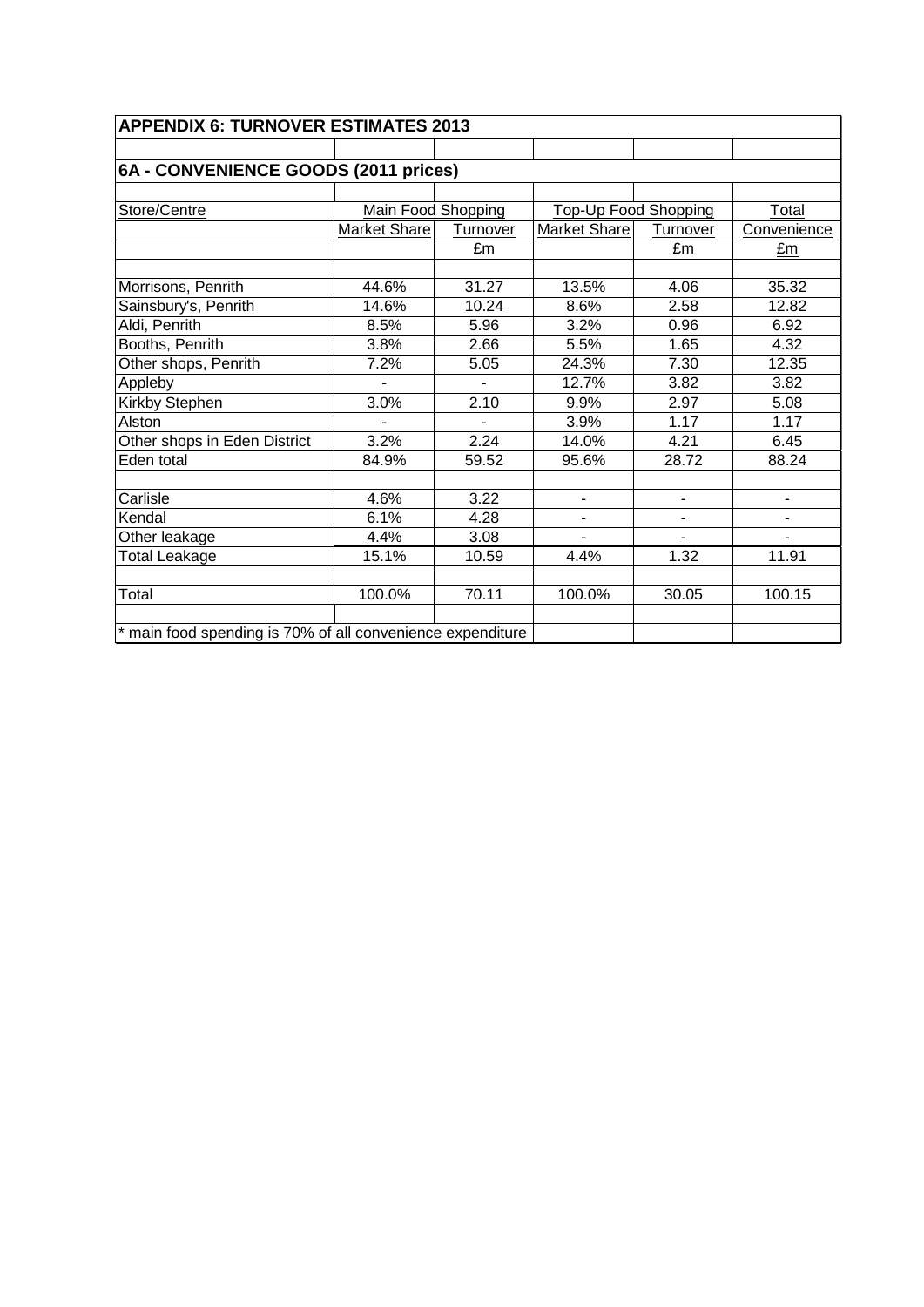| <b>APPENDIX 6: TURNOVER ESTIMATES 2013</b>                 |                    |          |                             |                          |             |  |  |  |
|------------------------------------------------------------|--------------------|----------|-----------------------------|--------------------------|-------------|--|--|--|
|                                                            |                    |          |                             |                          |             |  |  |  |
| 6A - CONVENIENCE GOODS (2011 prices)                       |                    |          |                             |                          |             |  |  |  |
|                                                            |                    |          |                             |                          |             |  |  |  |
| Store/Centre                                               | Main Food Shopping |          | <b>Top-Up Food Shopping</b> |                          | Total       |  |  |  |
|                                                            | Market Share       | Turnover | Market Share                | Turnover                 | Convenience |  |  |  |
|                                                            |                    | £m       |                             | £m                       | £m          |  |  |  |
|                                                            |                    |          |                             |                          |             |  |  |  |
| Morrisons, Penrith                                         | 44.6%              | 31.27    | 13.5%                       | 4.06                     | 35.32       |  |  |  |
| Sainsbury's, Penrith                                       | 14.6%              | 10.24    | 8.6%                        | 2.58                     | 12.82       |  |  |  |
| Aldi, Penrith                                              | 8.5%               | 5.96     | 3.2%                        | 0.96                     | 6.92        |  |  |  |
| Booths, Penrith                                            | 3.8%               | 2.66     | 5.5%                        | 1.65                     | 4.32        |  |  |  |
| Other shops, Penrith                                       | 7.2%               | 5.05     | 24.3%                       | 7.30                     | 12.35       |  |  |  |
| Appleby                                                    |                    |          | 12.7%                       | 3.82                     | 3.82        |  |  |  |
| Kirkby Stephen                                             | 3.0%               | 2.10     | 9.9%                        | 2.97                     | 5.08        |  |  |  |
| Alston                                                     |                    |          | 3.9%                        | 1.17                     | 1.17        |  |  |  |
| Other shops in Eden District                               | 3.2%               | 2.24     | 14.0%                       | 4.21                     | 6.45        |  |  |  |
| Eden total                                                 | 84.9%              | 59.52    | 95.6%                       | 28.72                    | 88.24       |  |  |  |
|                                                            |                    |          |                             |                          |             |  |  |  |
| Carlisle                                                   | 4.6%               | 3.22     | ٠                           | $\blacksquare$           | ٠           |  |  |  |
| Kendal                                                     | 6.1%               | 4.28     | ۰                           | $\overline{\phantom{a}}$ |             |  |  |  |
| Other leakage                                              | 4.4%               | 3.08     | $\overline{\phantom{0}}$    |                          |             |  |  |  |
| <b>Total Leakage</b>                                       | 15.1%              | 10.59    | 4.4%                        | 1.32                     | 11.91       |  |  |  |
|                                                            |                    |          |                             |                          |             |  |  |  |
| Total                                                      | 100.0%             | 70.11    | 100.0%                      | 30.05                    | 100.15      |  |  |  |
|                                                            |                    |          |                             |                          |             |  |  |  |
| * main food spending is 70% of all convenience expenditure |                    |          |                             |                          |             |  |  |  |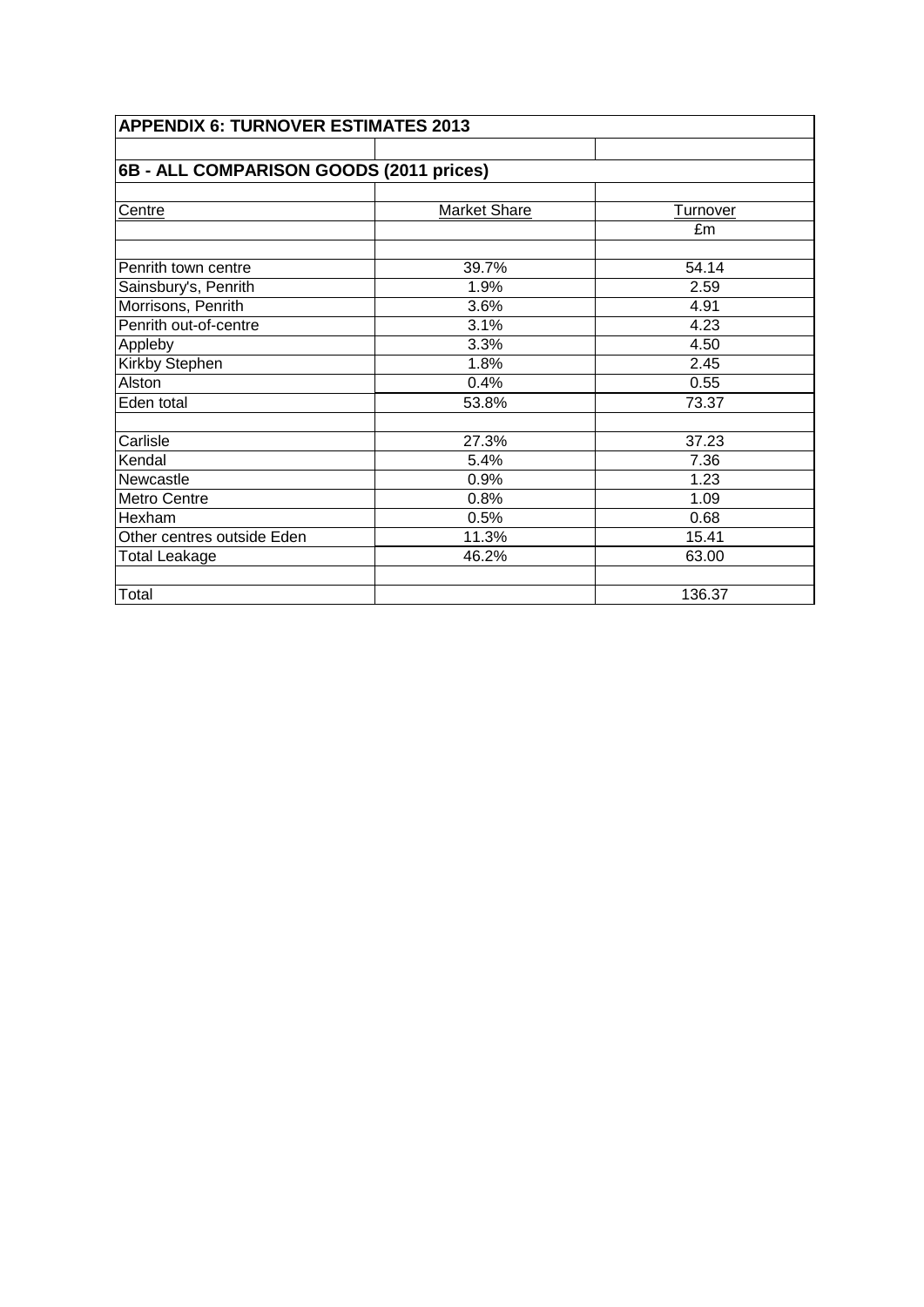| <b>APPENDIX 6: TURNOVER ESTIMATES 2013</b> |              |                 |  |  |  |  |
|--------------------------------------------|--------------|-----------------|--|--|--|--|
|                                            |              |                 |  |  |  |  |
| 6B - ALL COMPARISON GOODS (2011 prices)    |              |                 |  |  |  |  |
|                                            |              |                 |  |  |  |  |
| Centre                                     | Market Share | <b>Turnover</b> |  |  |  |  |
|                                            |              | £m              |  |  |  |  |
| Penrith town centre                        | 39.7%        | 54.14           |  |  |  |  |
| Sainsbury's, Penrith                       | 1.9%         | 2.59            |  |  |  |  |
| Morrisons, Penrith                         | 3.6%         | 4.91            |  |  |  |  |
| Penrith out-of-centre                      | 3.1%         | 4.23            |  |  |  |  |
| Appleby                                    | 3.3%         | 4.50            |  |  |  |  |
| Kirkby Stephen                             | 1.8%         | 2.45            |  |  |  |  |
| Alston                                     | 0.4%         | 0.55            |  |  |  |  |
| Eden total                                 | 53.8%        | 73.37           |  |  |  |  |
| Carlisle                                   | 27.3%        | 37.23           |  |  |  |  |
| Kendal                                     | 5.4%         | 7.36            |  |  |  |  |
| Newcastle                                  | 0.9%         | 1.23            |  |  |  |  |
| Metro Centre                               | 0.8%         | 1.09            |  |  |  |  |
| Hexham                                     | 0.5%         | 0.68            |  |  |  |  |
| Other centres outside Eden                 | 11.3%        | 15.41           |  |  |  |  |
| <b>Total Leakage</b>                       | 46.2%        | 63.00           |  |  |  |  |
| Total                                      |              | 136.37          |  |  |  |  |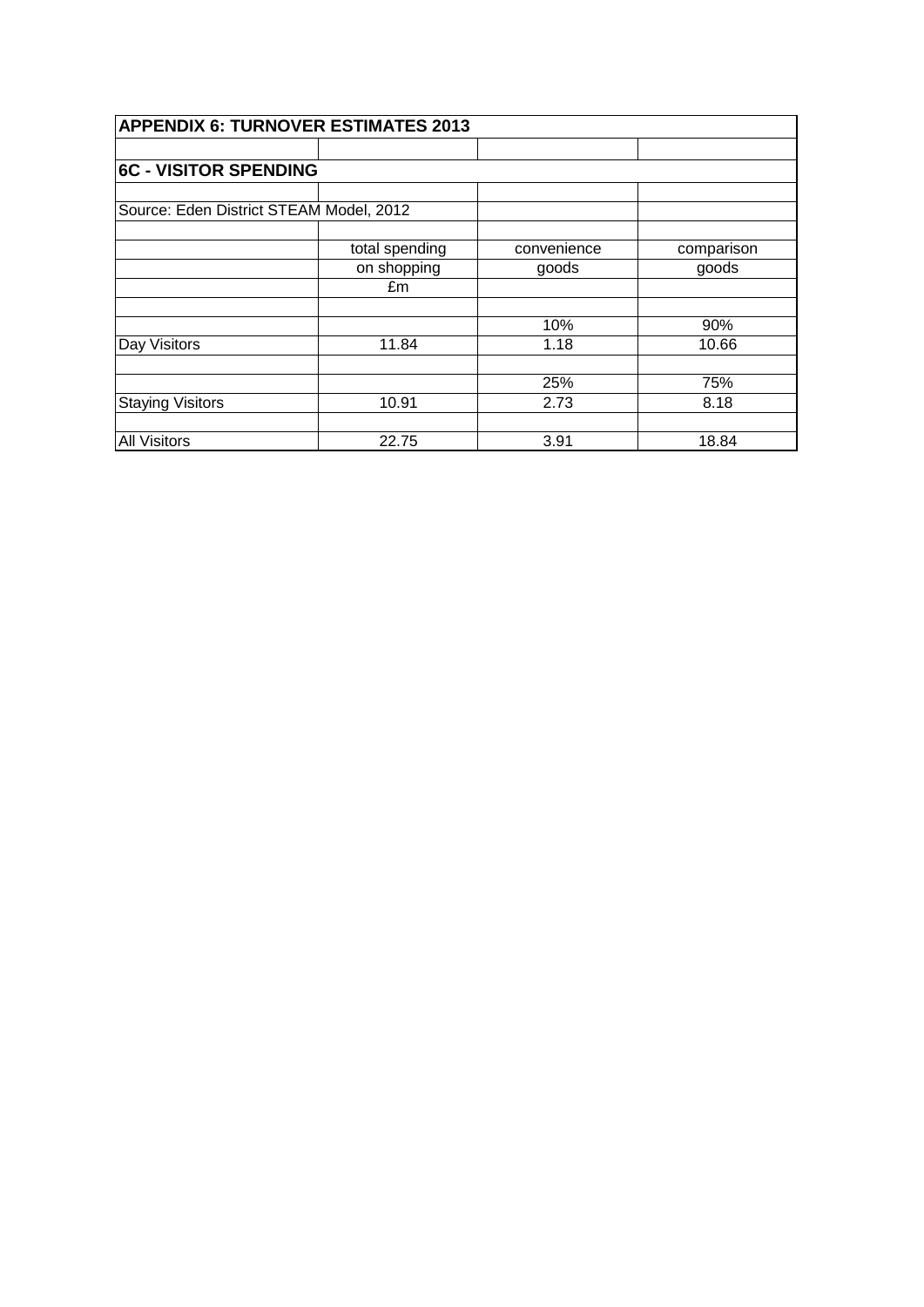| <b>APPENDIX 6: TURNOVER ESTIMATES 2013</b> |                |             |            |  |  |  |
|--------------------------------------------|----------------|-------------|------------|--|--|--|
|                                            |                |             |            |  |  |  |
| <b>6C - VISITOR SPENDING</b>               |                |             |            |  |  |  |
|                                            |                |             |            |  |  |  |
| Source: Eden District STEAM Model, 2012    |                |             |            |  |  |  |
|                                            |                |             |            |  |  |  |
|                                            | total spending | convenience | comparison |  |  |  |
|                                            | on shopping    | goods       | goods      |  |  |  |
|                                            | £m             |             |            |  |  |  |
|                                            |                |             |            |  |  |  |
|                                            |                | 10%         | 90%        |  |  |  |
| Day Visitors                               | 11.84          | 1.18        | 10.66      |  |  |  |
|                                            |                |             |            |  |  |  |
|                                            |                | 25%         | 75%        |  |  |  |
| <b>Staying Visitors</b>                    | 10.91          | 2.73        | 8.18       |  |  |  |
|                                            |                |             |            |  |  |  |
| <b>All Visitors</b>                        | 22.75          | 3.91        | 18.84      |  |  |  |